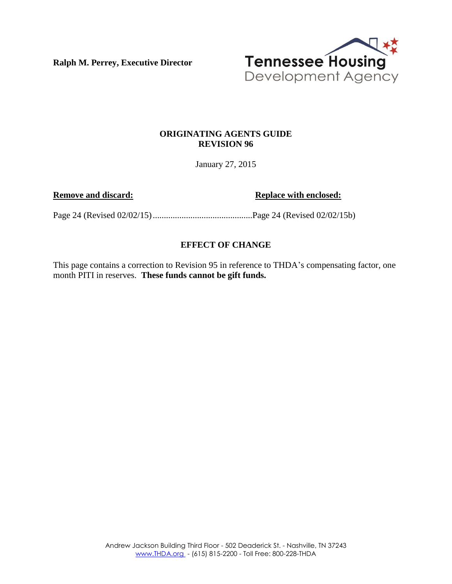**Ralph M. Perrey, Executive Director**



# **ORIGINATING AGENTS GUIDE REVISION 96**

January 27, 2015

**Remove and discard: Replace with enclosed:** 

Page 24 (Revised 02/02/15).............................................Page 24 (Revised 02/02/15b)

# **EFFECT OF CHANGE**

This page contains a correction to Revision 95 in reference to THDA's compensating factor, one month PITI in reserves. **These funds cannot be gift funds.**